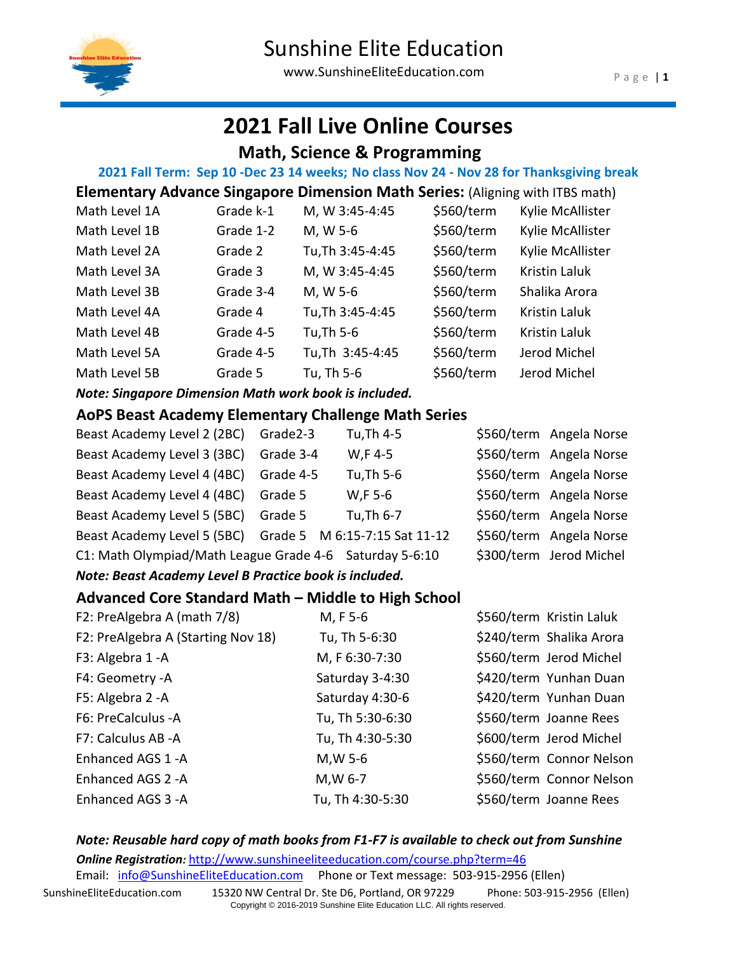

www.SunshineEliteEducation.com

# **2021 Fall Live Online Courses**

### **Math, Science & Programming**

### **2021 Fall Term: Sep 10 -Dec 23 14 weeks; No class Nov 24 - Nov 28 for Thanksgiving break**

| <b>Elementary Advance Singapore Dimension Math Series:</b> (Aligning with ITBS math) |           |                  |            |                      |
|--------------------------------------------------------------------------------------|-----------|------------------|------------|----------------------|
| Math Level 1A                                                                        | Grade k-1 | M, W 3:45-4:45   | \$560/term | Kylie McAllister     |
| Math Level 1B                                                                        | Grade 1-2 | M, W 5-6         | \$560/term | Kylie McAllister     |
| Math Level 2A                                                                        | Grade 2   | Tu, Th 3:45-4:45 | \$560/term | Kylie McAllister     |
| Math Level 3A                                                                        | Grade 3   | M, W 3:45-4:45   | \$560/term | <b>Kristin Laluk</b> |
| Math Level 3B                                                                        | Grade 3-4 | M, W 5-6         | \$560/term | Shalika Arora        |
| Math Level 4A                                                                        | Grade 4   | Tu, Th 3:45-4:45 | \$560/term | <b>Kristin Laluk</b> |
| Math Level 4B                                                                        | Grade 4-5 | Tu, Th 5-6       | \$560/term | <b>Kristin Laluk</b> |
| Math Level 5A                                                                        | Grade 4-5 | Tu, Th 3:45-4:45 | \$560/term | Jerod Michel         |
| Math Level 5B                                                                        | Grade 5   | Tu, Th 5-6       | \$560/term | Jerod Michel         |
|                                                                                      |           |                  |            |                      |

*Note: Singapore Dimension Math work book is included.*

### **AoPS Beast Academy Elementary Challenge Math Series**

| Beast Academy Level 2 (2BC) Grade2-3                      |           | Tu, Th 4-5 | \$560/term Angela Norse |
|-----------------------------------------------------------|-----------|------------|-------------------------|
| Beast Academy Level 3 (3BC)                               | Grade 3-4 | W,F 4-5    | \$560/term Angela Norse |
| Beast Academy Level 4 (4BC) Grade 4-5                     |           | Tu, Th 5-6 | \$560/term Angela Norse |
| Beast Academy Level 4 (4BC) Grade 5                       |           | W,F 5-6    | \$560/term Angela Norse |
| Beast Academy Level 5 (5BC) Grade 5                       |           | Tu, Th 6-7 | \$560/term Angela Norse |
| Beast Academy Level 5 (5BC) Grade 5 M 6:15-7:15 Sat 11-12 |           |            | \$560/term Angela Norse |
| C1: Math Olympiad/Math League Grade 4-6 Saturday 5-6:10   |           |            | \$300/term Jerod Michel |
|                                                           |           |            |                         |

#### *Note: Beast Academy Level B Practice book is included.*

### **Advanced Core Standard Math – Middle to High School**

| F2: PreAlgebra A (math 7/8)        | M, F 5-6         | \$560/term Kristin Laluk |
|------------------------------------|------------------|--------------------------|
| F2: PreAlgebra A (Starting Nov 18) | Tu, Th 5-6:30    | \$240/term Shalika Arora |
| F3: Algebra 1 - A                  | M, F 6:30-7:30   | \$560/term Jerod Michel  |
| F4: Geometry -A                    | Saturday 3-4:30  | \$420/term Yunhan Duan   |
| F5: Algebra 2 - A                  | Saturday 4:30-6  | \$420/term Yunhan Duan   |
| F6: PreCalculus -A                 | Tu, Th 5:30-6:30 | \$560/term Joanne Rees   |
| F7: Calculus AB -A                 | Tu, Th 4:30-5:30 | \$600/term Jerod Michel  |
| Enhanced AGS 1-A                   | M, W 5-6         | \$560/term Connor Nelson |
| Enhanced AGS 2 - A                 | M, W 6-7         | \$560/term Connor Nelson |
| Enhanced AGS 3 - A                 | Tu, Th 4:30-5:30 | \$560/term Joanne Rees   |

### *Note: Reusable hard copy of math books from F1-F7 is available to check out from Sunshine* **Online Registration**: <http://www.sunshineeliteeducation.com/course.php?term=46>

Email: [info@SunshineEliteEducation.com](mailto:info@SunshineEliteEducation.com)  Phone or Text message: 503-915-2956 (Ellen)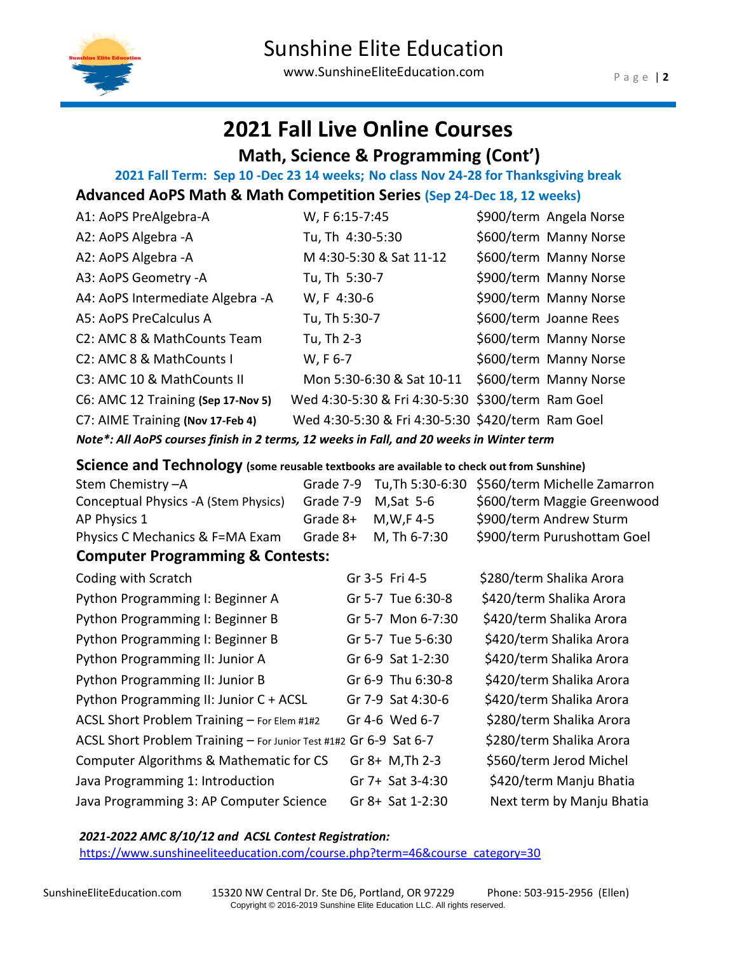

www.SunshineEliteEducation.com

# **2021 Fall Live Online Courses**

### **Math, Science & Programming (Cont')**

# **2021 Fall Term: Sep 10 -Dec 23 14 weeks; No class Nov 24-28 for Thanksgiving break**

# **Advanced AoPS Math & Math Competition Series (Sep 24-Dec 18, 12 weeks)**

| A1: AoPS PreAlgebra-A                                                                    | W, F 6:15-7:45                                    | \$900/term Angela Norse |
|------------------------------------------------------------------------------------------|---------------------------------------------------|-------------------------|
| A2: AoPS Algebra -A                                                                      | Tu, Th 4:30-5:30                                  | \$600/term Manny Norse  |
| A2: AoPS Algebra -A                                                                      | M 4:30-5:30 & Sat 11-12                           | \$600/term Manny Norse  |
| A3: AoPS Geometry -A                                                                     | Tu, Th 5:30-7                                     | \$900/term Manny Norse  |
| A4: AoPS Intermediate Algebra -A                                                         | W, F 4:30-6                                       | \$900/term Manny Norse  |
| A5: AoPS PreCalculus A                                                                   | Tu, Th 5:30-7                                     | \$600/term Joanne Rees  |
| C <sub>2</sub> : AMC 8 & MathCounts Team                                                 | Tu, Th 2-3                                        | \$600/term Manny Norse  |
| C2: AMC 8 & MathCounts I                                                                 | W, F 6-7                                          | \$600/term Manny Norse  |
| C3: AMC 10 & MathCounts II                                                               | Mon 5:30-6:30 & Sat 10-11                         | \$600/term Manny Norse  |
| C6: AMC 12 Training (Sep 17-Nov 5)                                                       | Wed 4:30-5:30 & Fri 4:30-5:30 \$300/term Ram Goel |                         |
| C7: AIME Training (Nov 17-Feb 4)                                                         | Wed 4:30-5:30 & Fri 4:30-5:30 \$420/term Ram Goel |                         |
| Note*: All AoPS courses finish in 2 terms, 12 weeks in Fall, and 20 weeks in Winter term |                                                   |                         |

### *Note\*: All AoPS courses finish in 2 terms, 12 weeks in Fall, and 20 weeks in Winter term*

### **Science and Technology (some reusable textbooks are available to check out from Sunshine)**

| Stem Chemistry-A                                                  | Grade 7-9 | Tu, Th 5:30-6:30  | \$560/term Michelle Zamarron |
|-------------------------------------------------------------------|-----------|-------------------|------------------------------|
| Conceptual Physics -A (Stem Physics)                              | Grade 7-9 | $M,Sat$ 5-6       | \$600/term Maggie Greenwood  |
| AP Physics 1                                                      | Grade 8+  | $M,W,F$ 4-5       | \$900/term Andrew Sturm      |
| Physics C Mechanics & F=MA Exam                                   | Grade 8+  | M, Th 6-7:30      | \$900/term Purushottam Goel  |
| <b>Computer Programming &amp; Contests:</b>                       |           |                   |                              |
| Coding with Scratch                                               |           | Gr 3-5 Fri 4-5    | \$280/term Shalika Arora     |
| Python Programming I: Beginner A                                  |           | Gr 5-7 Tue 6:30-8 | \$420/term Shalika Arora     |
| Python Programming I: Beginner B                                  |           | Gr 5-7 Mon 6-7:30 | \$420/term Shalika Arora     |
| Python Programming I: Beginner B                                  |           | Gr 5-7 Tue 5-6:30 | \$420/term Shalika Arora     |
| Python Programming II: Junior A                                   |           | Gr 6-9 Sat 1-2:30 | \$420/term Shalika Arora     |
| Python Programming II: Junior B                                   |           | Gr 6-9 Thu 6:30-8 | \$420/term Shalika Arora     |
| Python Programming II: Junior C + ACSL                            |           | Gr 7-9 Sat 4:30-6 | \$420/term Shalika Arora     |
| ACSL Short Problem Training - For Elem #1#2                       |           | Gr 4-6 Wed 6-7    | \$280/term Shalika Arora     |
| ACSL Short Problem Training - For Junior Test #1#2 Gr 6-9 Sat 6-7 |           |                   | \$280/term Shalika Arora     |
| Computer Algorithms & Mathematic for CS                           |           | $Gr 8+ M, Th 2-3$ | \$560/term Jerod Michel      |
| Java Programming 1: Introduction                                  |           | Gr 7+ Sat 3-4:30  | \$420/term Manju Bhatia      |
| Java Programming 3: AP Computer Science                           |           | Gr 8+ Sat 1-2:30  | Next term by Manju Bhatia    |

#### *2021-2022 AMC 8/10/12 and ACSL Contest Registration:*

[https://www.sunshineeliteeducation.com/course.php?term=46&course\\_category=30](https://www.sunshineeliteeducation.com/course.php?term=46&course_category=30)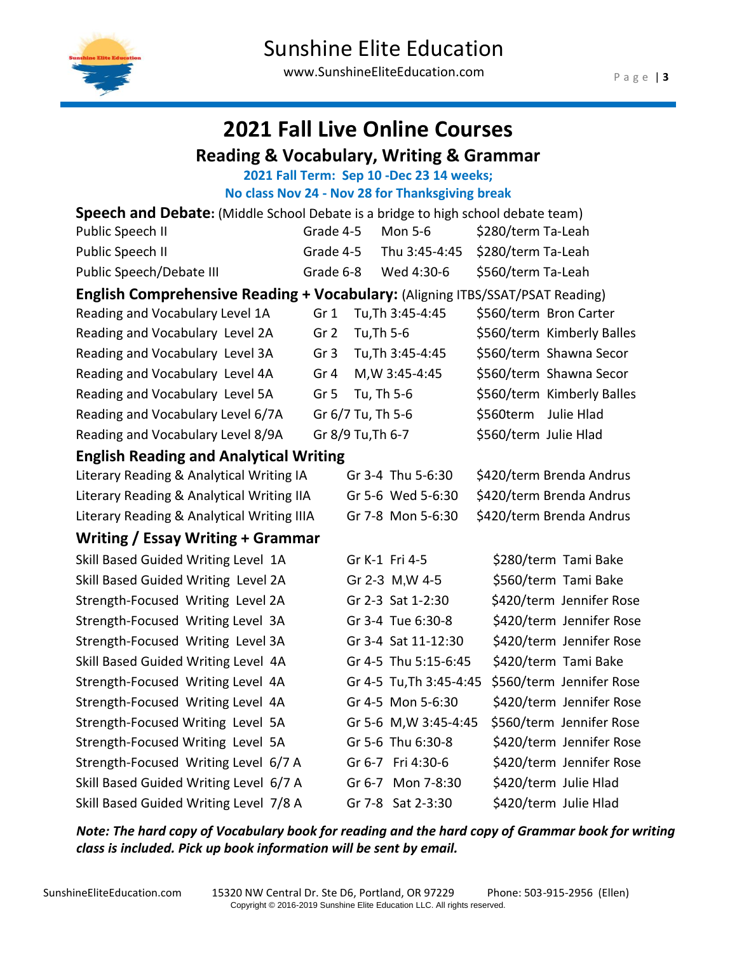

# **2021 Fall Live Online Courses**

### **Reading & Vocabulary, Writing & Grammar**

### **2021 Fall Term: Sep 10 -Dec 23 14 weeks;**

**No class Nov 24 - Nov 28 for Thanksgiving break**

| <b>Speech and Debate:</b> (Middle School Debate is a bridge to high school debate team) |                 |                   |                         |                            |
|-----------------------------------------------------------------------------------------|-----------------|-------------------|-------------------------|----------------------------|
| Public Speech II                                                                        | Grade 4-5       |                   | Mon 5-6                 | \$280/term Ta-Leah         |
| Public Speech II                                                                        | Grade 4-5       |                   | Thu 3:45-4:45           | \$280/term Ta-Leah         |
| Public Speech/Debate III                                                                | Grade 6-8       |                   | Wed 4:30-6              | \$560/term Ta-Leah         |
| English Comprehensive Reading + Vocabulary: (Aligning ITBS/SSAT/PSAT Reading)           |                 |                   |                         |                            |
| Reading and Vocabulary Level 1A                                                         | Gr <sub>1</sub> |                   | Tu, Th 3:45-4:45        | \$560/term Bron Carter     |
| Reading and Vocabulary Level 2A                                                         | Gr <sub>2</sub> | Tu, Th 5-6        |                         | \$560/term Kimberly Balles |
| Reading and Vocabulary Level 3A                                                         | Gr <sub>3</sub> |                   | Tu, Th 3:45-4:45        | \$560/term Shawna Secor    |
| Reading and Vocabulary Level 4A                                                         | Gr <sub>4</sub> |                   | M, W 3:45-4:45          | \$560/term Shawna Secor    |
| Reading and Vocabulary Level 5A                                                         | Gr <sub>5</sub> | Tu, Th 5-6        |                         | \$560/term Kimberly Balles |
| Reading and Vocabulary Level 6/7A                                                       |                 | Gr 6/7 Tu, Th 5-6 |                         | Julie Hlad<br>\$560term    |
| Reading and Vocabulary Level 8/9A                                                       |                 | Gr 8/9 Tu, Th 6-7 |                         | \$560/term Julie Hlad      |
| <b>English Reading and Analytical Writing</b>                                           |                 |                   |                         |                            |
| Literary Reading & Analytical Writing IA                                                |                 |                   | Gr 3-4 Thu 5-6:30       | \$420/term Brenda Andrus   |
| Literary Reading & Analytical Writing IIA                                               |                 |                   | Gr 5-6 Wed 5-6:30       | \$420/term Brenda Andrus   |
| Literary Reading & Analytical Writing IIIA                                              |                 |                   | Gr 7-8 Mon 5-6:30       | \$420/term Brenda Andrus   |
| Writing / Essay Writing + Grammar                                                       |                 |                   |                         |                            |
| Skill Based Guided Writing Level 1A                                                     |                 |                   | Gr K-1 Fri 4-5          | \$280/term Tami Bake       |
| Skill Based Guided Writing Level 2A                                                     |                 |                   | Gr 2-3 M, W 4-5         | \$560/term Tami Bake       |
| Strength-Focused Writing Level 2A                                                       |                 |                   | Gr 2-3 Sat 1-2:30       | \$420/term Jennifer Rose   |
| Strength-Focused Writing Level 3A                                                       |                 |                   | Gr 3-4 Tue 6:30-8       | \$420/term Jennifer Rose   |
| Strength-Focused Writing Level 3A                                                       |                 |                   | Gr 3-4 Sat 11-12:30     | \$420/term Jennifer Rose   |
| Skill Based Guided Writing Level 4A                                                     |                 |                   | Gr 4-5 Thu 5:15-6:45    | \$420/term Tami Bake       |
| Strength-Focused Writing Level 4A                                                       |                 |                   | Gr 4-5 Tu, Th 3:45-4:45 | \$560/term Jennifer Rose   |
| Strength-Focused Writing Level 4A                                                       |                 |                   | Gr 4-5 Mon 5-6:30       | \$420/term Jennifer Rose   |
| Strength-Focused Writing Level 5A                                                       |                 |                   | Gr 5-6 M, W 3:45-4:45   | \$560/term Jennifer Rose   |
| Strength-Focused Writing Level 5A                                                       |                 |                   | Gr 5-6 Thu 6:30-8       | \$420/term Jennifer Rose   |
| Strength-Focused Writing Level 6/7 A                                                    |                 |                   | Gr 6-7 Fri 4:30-6       | \$420/term Jennifer Rose   |
| Skill Based Guided Writing Level 6/7 A                                                  |                 |                   | Gr 6-7 Mon 7-8:30       | \$420/term Julie Hlad      |
| Skill Based Guided Writing Level 7/8 A                                                  |                 |                   | Gr 7-8 Sat 2-3:30       | \$420/term Julie Hlad      |

*Note: The hard copy of Vocabulary book for reading and the hard copy of Grammar book for writing class is included. Pick up book information will be sent by email.*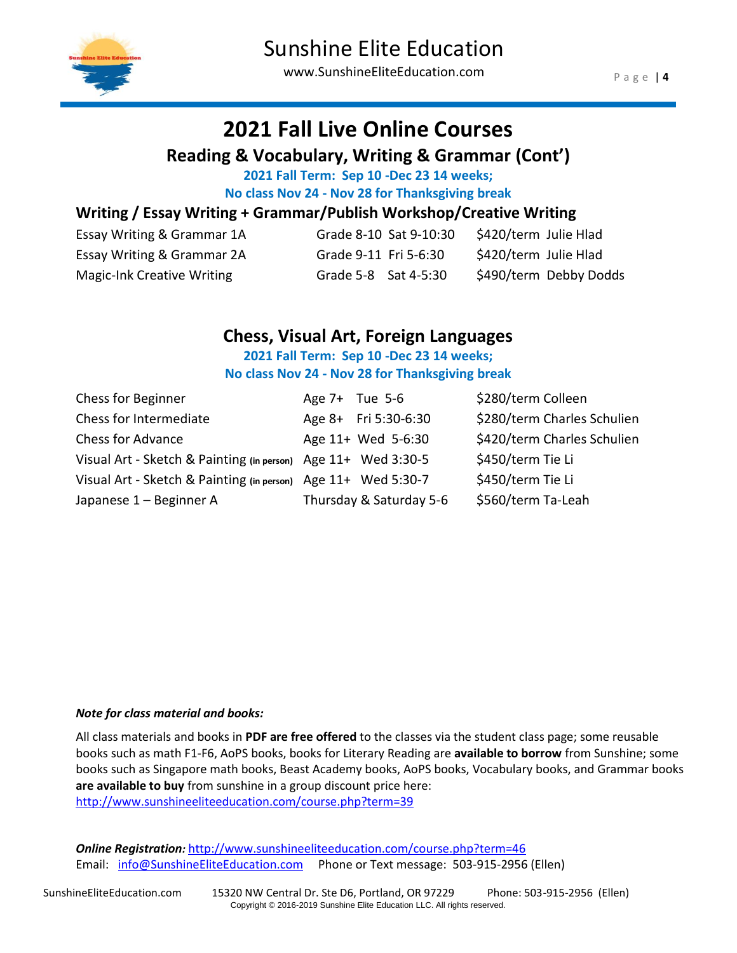

# **2021 Fall Live Online Courses**

### **Reading & Vocabulary, Writing & Grammar (Cont')**

**2021 Fall Term: Sep 10 -Dec 23 14 weeks;**

**No class Nov 24 - Nov 28 for Thanksgiving break**

### **Writing / Essay Writing + Grammar/Publish Workshop/Creative Writing**

| Essay Writing & Grammar 1A |                       | Grade 8-10 Sat 9-10:30 | \$420/term Julie Hlad |                        |
|----------------------------|-----------------------|------------------------|-----------------------|------------------------|
| Essay Writing & Grammar 2A | Grade 9-11 Fri 5-6:30 |                        | \$420/term Julie Hlad |                        |
| Magic-Ink Creative Writing | Grade 5-8 Sat 4-5:30  |                        |                       | \$490/term Debby Dodds |

### **Chess, Visual Art, Foreign Languages**

#### **2021 Fall Term: Sep 10 -Dec 23 14 weeks; No class Nov 24 - Nov 28 for Thanksgiving break**

| Chess for Beginner                                            | Age $7+$ Tue 5-6        | \$280/term Colleen          |
|---------------------------------------------------------------|-------------------------|-----------------------------|
| Chess for Intermediate                                        | Age 8+ Fri 5:30-6:30    | \$280/term Charles Schulien |
| <b>Chess for Advance</b>                                      | Age 11+ Wed 5-6:30      | \$420/term Charles Schulien |
| Visual Art - Sketch & Painting (in person) Age 11+ Wed 3:30-5 |                         | \$450/term Tie Li           |
| Visual Art - Sketch & Painting (in person) Age 11+ Wed 5:30-7 |                         | \$450/term Tie Li           |
| Japanese 1 - Beginner A                                       | Thursday & Saturday 5-6 | \$560/term Ta-Leah          |

#### *Note for class material and books:*

All class materials and books in **PDF are free offered** to the classes via the student class page; some reusable books such as math F1-F6, AoPS books, books for Literary Reading are **available to borrow** from Sunshine; some books such as Singapore math books, Beast Academy books, AoPS books, Vocabulary books, and Grammar books **are available to buy** from sunshine in a group discount price here: <http://www.sunshineeliteeducation.com/course.php?term=39>

*Online Registration:* <http://www.sunshineeliteeducation.com/course.php?term=46> Email: [info@SunshineEliteEducation.com](mailto:info@SunshineEliteEducation.com) Phone or Text message: 503-915-2956 (Ellen)